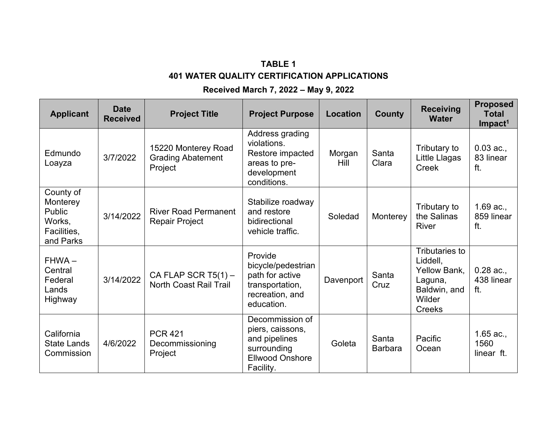## **TABLE 1 401 WATER QUALITY CERTIFICATION APPLICATIONS**

## **Received March 7, 2022 – May 9, 2022**

| <b>Applicant</b>                                                      | <b>Date</b><br><b>Received</b> | <b>Project Title</b>                                       | <b>Project Purpose</b>                                                                                     | <b>Location</b>       | <b>County</b>           | <b>Receiving</b><br><b>Water</b>                                                                        | <b>Proposed</b><br><b>Total</b><br>$Im$ pact <sup>1</sup> |
|-----------------------------------------------------------------------|--------------------------------|------------------------------------------------------------|------------------------------------------------------------------------------------------------------------|-----------------------|-------------------------|---------------------------------------------------------------------------------------------------------|-----------------------------------------------------------|
| Edmundo<br>Loayza                                                     | 3/7/2022                       | 15220 Monterey Road<br><b>Grading Abatement</b><br>Project | Address grading<br>violations.<br>Restore impacted<br>areas to pre-<br>development<br>conditions.          | Morgan<br><b>Hill</b> | Santa<br>Clara          | Tributary to<br>Little Llagas<br>Creek                                                                  | $0.03$ ac.,<br>83 linear<br>ft.                           |
| County of<br>Monterey<br>Public<br>Works,<br>Facilities,<br>and Parks | 3/14/2022                      | <b>River Road Permanent</b><br><b>Repair Project</b>       | Stabilize roadway<br>and restore<br>bidirectional<br>vehicle traffic.                                      | Soledad               | Monterey                | Tributary to<br>the Salinas<br><b>River</b>                                                             | $1.69$ ac.,<br>859 linear<br>ft.                          |
| $FHWA -$<br>Central<br>Federal<br>Lands<br>Highway                    | 3/14/2022                      | CA FLAP SCR $T5(1)$ -<br>North Coast Rail Trail            | Provide<br>bicycle/pedestrian<br>path for active<br>transportation,<br>recreation, and<br>education.       | Davenport             | Santa<br>Cruz           | <b>Tributaries to</b><br>Liddell,<br>Yellow Bank,<br>Laguna,<br>Baldwin, and<br>Wilder<br><b>Creeks</b> | $0.28$ ac.,<br>438 linear<br>ft.                          |
| California<br><b>State Lands</b><br>Commission                        | 4/6/2022                       | <b>PCR 421</b><br>Decommissioning<br>Project               | Decommission of<br>piers, caissons,<br>and pipelines<br>surrounding<br><b>Ellwood Onshore</b><br>Facility. | Goleta                | Santa<br><b>Barbara</b> | Pacific<br>Ocean                                                                                        | $1.65$ ac.,<br>1560<br>linear ft.                         |